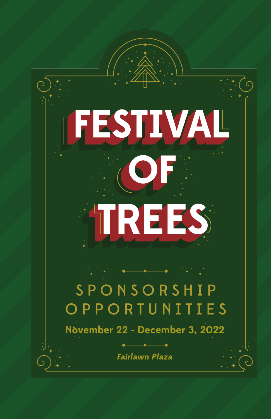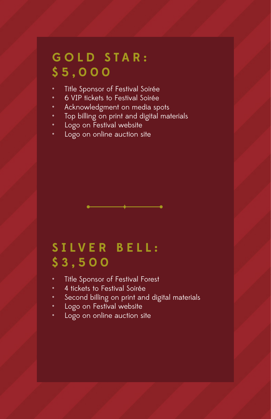#### **G O L D S T A R : \$5,000**

- Title Sponsor of Festival Soirée
- 6 VIP tickets to Festival Soirée
- Acknowledgment on media spots
- Top billing on print and digital materials
- Logo on Festival website
- Logo on online auction site

# **S I L V E R B E L L : \$3,500**

- Title Sponsor of Festival Forest
- 4 tickets to Festival Soirée
- Second billing on print and digital materials
- Logo on Festival website
- Logo on online auction site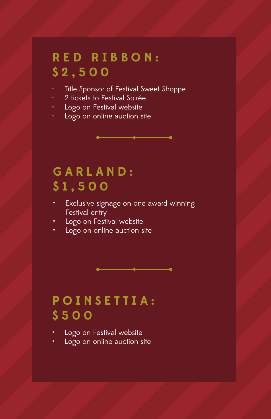# **R E D R I B B O N : \$2,500**

- Title Sponsor of Festival Sweet Shoppe
- 2 tickets to Festival Soirée
- Logo on Festival website
- Logo on online auction site

# **GARLAND: \$1,500**

- Exclusive signage on one award winning Festival entry
- Logo on Festival website
- Logo on online auction site

# **POINSETTIA: \$500**

- Logo on Festival website
- Logo on online auction site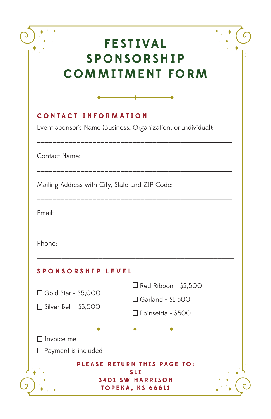|                                                                                             | <b>FESTIVAL</b><br><b>SPONSORSHIP</b><br><b>COMMITMENT FORM</b>            |
|---------------------------------------------------------------------------------------------|----------------------------------------------------------------------------|
|                                                                                             |                                                                            |
| <b>CONTACT INFORMATION</b><br>Event Sponsor's Name (Business, Organization, or Individual): |                                                                            |
| Contact Name:                                                                               |                                                                            |
| Mailing Address with City, State and ZIP Code:                                              | __________________________                                                 |
| Email:                                                                                      |                                                                            |
| Phone:                                                                                      |                                                                            |
| SPONSORSHIP LEVEL                                                                           |                                                                            |
| $\Box$ Gold Star - \$5,000<br>$\Box$ Silver Bell - \$3,500                                  | $\Box$ Red Ribbon - \$2,500<br>□ Garland - \$1,500<br>□ Poinsettia - \$500 |
| $\Box$ Invoice me<br>Payment is included                                                    |                                                                            |
|                                                                                             | PLEASE RETURN THIS PAGE TO:                                                |
|                                                                                             | <b>SLI</b><br><b>3401 SW HARRISON</b><br>TOPEKA, KS 66611                  |